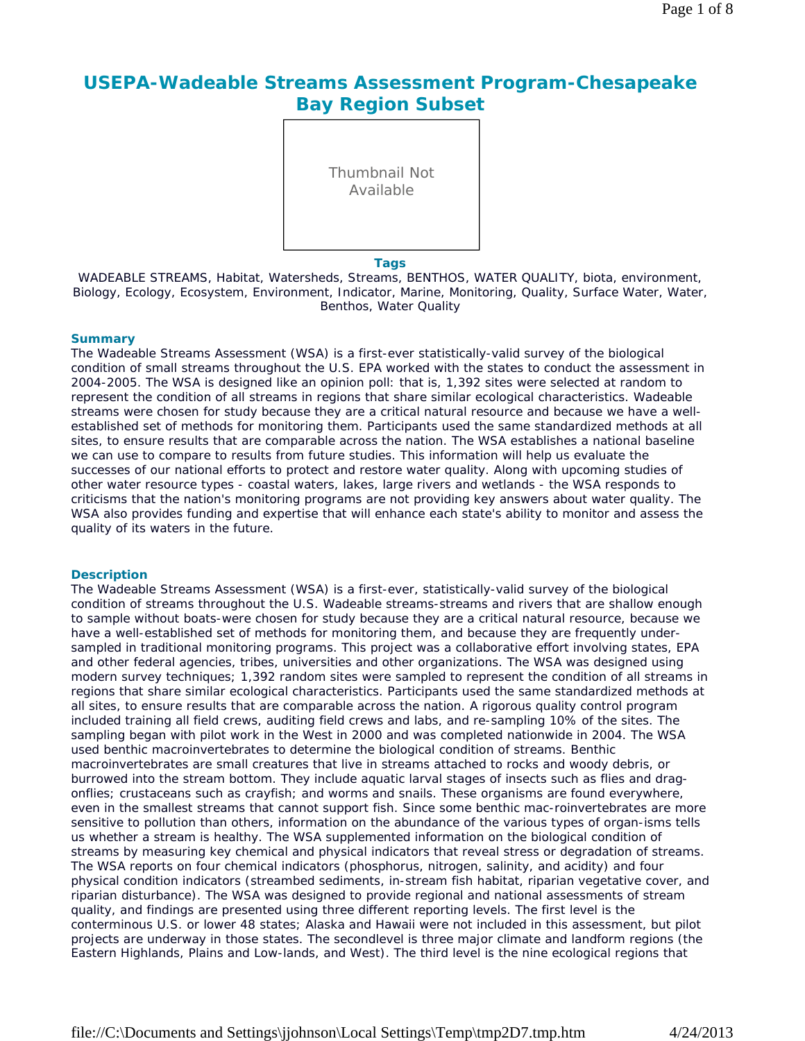# **USEPA-Wadeable Streams Assessment Program-Chesapeake Bay Region Subset**

Thumbnail Not Available

### **Tags**

WADEABLE STREAMS, Habitat, Watersheds, Streams, BENTHOS, WATER QUALITY, biota, environment, Biology, Ecology, Ecosystem, Environment, Indicator, Marine, Monitoring, Quality, Surface Water, Water, Benthos, Water Quality

### **Summary**

The Wadeable Streams Assessment (WSA) is a first-ever statistically-valid survey of the biological condition of small streams throughout the U.S. EPA worked with the states to conduct the assessment in 2004-2005. The WSA is designed like an opinion poll: that is, 1,392 sites were selected at random to represent the condition of all streams in regions that share similar ecological characteristics. Wadeable streams were chosen for study because they are a critical natural resource and because we have a wellestablished set of methods for monitoring them. Participants used the same standardized methods at all sites, to ensure results that are comparable across the nation. The WSA establishes a national baseline we can use to compare to results from future studies. This information will help us evaluate the successes of our national efforts to protect and restore water quality. Along with upcoming studies of other water resource types - coastal waters, lakes, large rivers and wetlands - the WSA responds to criticisms that the nation's monitoring programs are not providing key answers about water quality. The WSA also provides funding and expertise that will enhance each state's ability to monitor and assess the quality of its waters in the future.

### **Description**

The Wadeable Streams Assessment (WSA) is a first-ever, statistically-valid survey of the biological condition of streams throughout the U.S. Wadeable streams-streams and rivers that are shallow enough to sample without boats-were chosen for study because they are a critical natural resource, because we have a well-established set of methods for monitoring them, and because they are frequently undersampled in traditional monitoring programs. This project was a collaborative effort involving states, EPA and other federal agencies, tribes, universities and other organizations. The WSA was designed using modern survey techniques; 1,392 random sites were sampled to represent the condition of all streams in regions that share similar ecological characteristics. Participants used the same standardized methods at all sites, to ensure results that are comparable across the nation. A rigorous quality control program included training all field crews, auditing field crews and labs, and re-sampling 10% of the sites. The sampling began with pilot work in the West in 2000 and was completed nationwide in 2004. The WSA used benthic macroinvertebrates to determine the biological condition of streams. Benthic macroinvertebrates are small creatures that live in streams attached to rocks and woody debris, or burrowed into the stream bottom. They include aquatic larval stages of insects such as flies and dragonflies; crustaceans such as crayfish; and worms and snails. These organisms are found everywhere, even in the smallest streams that cannot support fish. Since some benthic mac-roinvertebrates are more sensitive to pollution than others, information on the abundance of the various types of organ-isms tells us whether a stream is healthy. The WSA supplemented information on the biological condition of streams by measuring key chemical and physical indicators that reveal stress or degradation of streams. The WSA reports on four chemical indicators (phosphorus, nitrogen, salinity, and acidity) and four physical condition indicators (streambed sediments, in-stream fish habitat, riparian vegetative cover, and riparian disturbance). The WSA was designed to provide regional and national assessments of stream quality, and findings are presented using three different reporting levels. The first level is the conterminous U.S. or lower 48 states; Alaska and Hawaii were not included in this assessment, but pilot projects are underway in those states. The secondlevel is three major climate and landform regions (the Eastern Highlands, Plains and Low-lands, and West). The third level is the nine ecological regions that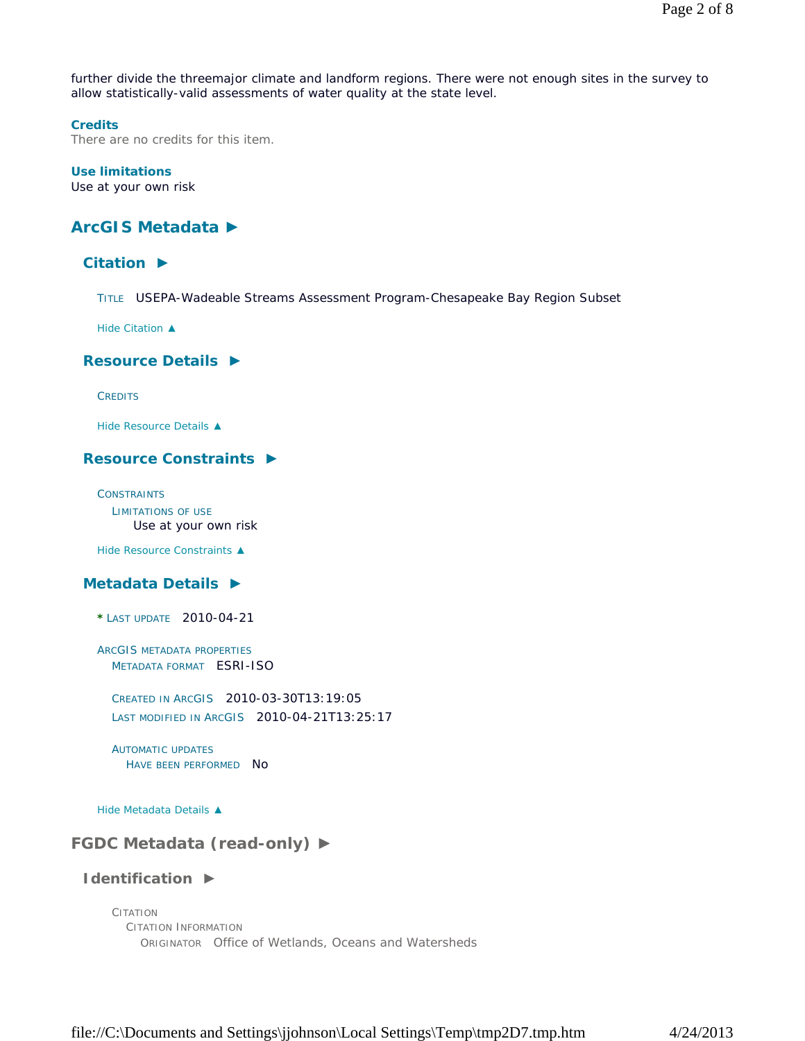further divide the threemajor climate and landform regions. There were not enough sites in the survey to allow statistically-valid assessments of water quality at the state level.

### **Credits**

There are no credits for this item.

### **Use limitations**

Use at your own risk

## **ArcGIS Metadata ►**

## **Citation ►**

TITLE USEPA-Wadeable Streams Assessment Program-Chesapeake Bay Region Subset

*Hide Citation ▲*

### **Resource Details ►**

**CREDITS** 

*Hide Resource Details ▲*

### **Resource Constraints ►**

**CONSTRAINTS** LIMITATIONS OF USE Use at your own risk

*Hide Resource Constraints ▲*

### **Metadata Details ►**

**\*** LAST UPDATE 2010-04-21

ARCGIS METADATA PROPERTIES METADATA FORMAT ESRI-ISO

CREATED IN ARCGIS 2010-03-30T13:19:05 LAST MODIFIED IN ARCGIS 2010-04-21T13:25:17

AUTOMATIC UPDATES HAVE BEEN PERFORMED NO

*Hide Metadata Details ▲*

## **FGDC Metadata (read-only) ►**

### **Identification ►**

CITATION CITATION INFORMATION ORIGINATOR Office of Wetlands, Oceans and Watersheds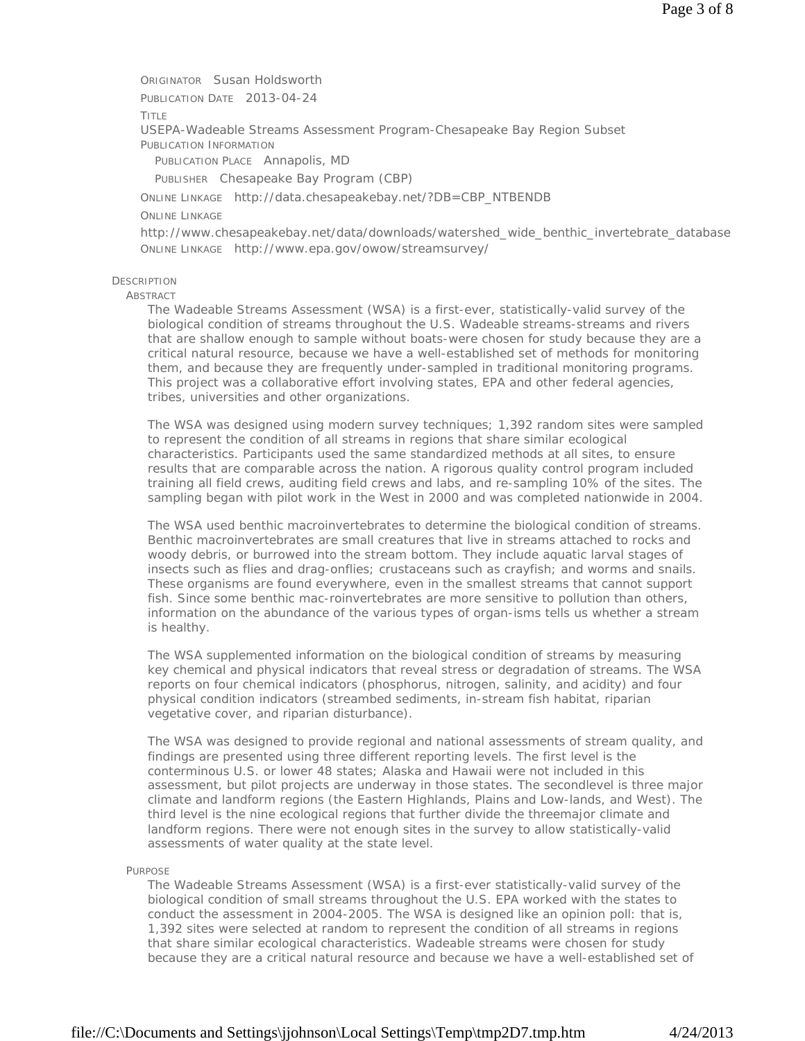ORIGINATOR Susan Holdsworth PUBLICATION DATE 2013-04-24 TITLE USEPA-Wadeable Streams Assessment Program-Chesapeake Bay Region Subset PUBLICATION INFORMATION PUBLICATION PLACE Annapolis, MD PUBLISHER Chesapeake Bay Program (CBP) ONLINE LINKAGE http://data.chesapeakebay.net/?DB=CBP\_NTBENDB ONLINE LINKAGE http://www.chesapeakebay.net/data/downloads/watershed\_wide\_benthic\_invertebrate\_database ONLINE LINKAGE http://www.epa.gov/owow/streamsurvey/

## **DESCRIPTION**

ABSTRACT

The Wadeable Streams Assessment (WSA) is a first-ever, statistically-valid survey of the biological condition of streams throughout the U.S. Wadeable streams-streams and rivers that are shallow enough to sample without boats-were chosen for study because they are a critical natural resource, because we have a well-established set of methods for monitoring them, and because they are frequently under-sampled in traditional monitoring programs. This project was a collaborative effort involving states, EPA and other federal agencies, tribes, universities and other organizations.

The WSA was designed using modern survey techniques; 1,392 random sites were sampled to represent the condition of all streams in regions that share similar ecological characteristics. Participants used the same standardized methods at all sites, to ensure results that are comparable across the nation. A rigorous quality control program included training all field crews, auditing field crews and labs, and re-sampling 10% of the sites. The sampling began with pilot work in the West in 2000 and was completed nationwide in 2004.

The WSA used benthic macroinvertebrates to determine the biological condition of streams. Benthic macroinvertebrates are small creatures that live in streams attached to rocks and woody debris, or burrowed into the stream bottom. They include aquatic larval stages of insects such as flies and drag-onflies; crustaceans such as crayfish; and worms and snails. These organisms are found everywhere, even in the smallest streams that cannot support fish. Since some benthic mac-roinvertebrates are more sensitive to pollution than others, information on the abundance of the various types of organ-isms tells us whether a stream is healthy.

The WSA supplemented information on the biological condition of streams by measuring key chemical and physical indicators that reveal stress or degradation of streams. The WSA reports on four chemical indicators (phosphorus, nitrogen, salinity, and acidity) and four physical condition indicators (streambed sediments, in-stream fish habitat, riparian vegetative cover, and riparian disturbance).

The WSA was designed to provide regional and national assessments of stream quality, and findings are presented using three different reporting levels. The first level is the conterminous U.S. or lower 48 states; Alaska and Hawaii were not included in this assessment, but pilot projects are underway in those states. The secondlevel is three major climate and landform regions (the Eastern Highlands, Plains and Low-lands, and West). The third level is the nine ecological regions that further divide the threemajor climate and landform regions. There were not enough sites in the survey to allow statistically-valid assessments of water quality at the state level.

#### PURPOSE

The Wadeable Streams Assessment (WSA) is a first-ever statistically-valid survey of the biological condition of small streams throughout the U.S. EPA worked with the states to conduct the assessment in 2004-2005. The WSA is designed like an opinion poll: that is, 1,392 sites were selected at random to represent the condition of all streams in regions that share similar ecological characteristics. Wadeable streams were chosen for study because they are a critical natural resource and because we have a well-established set of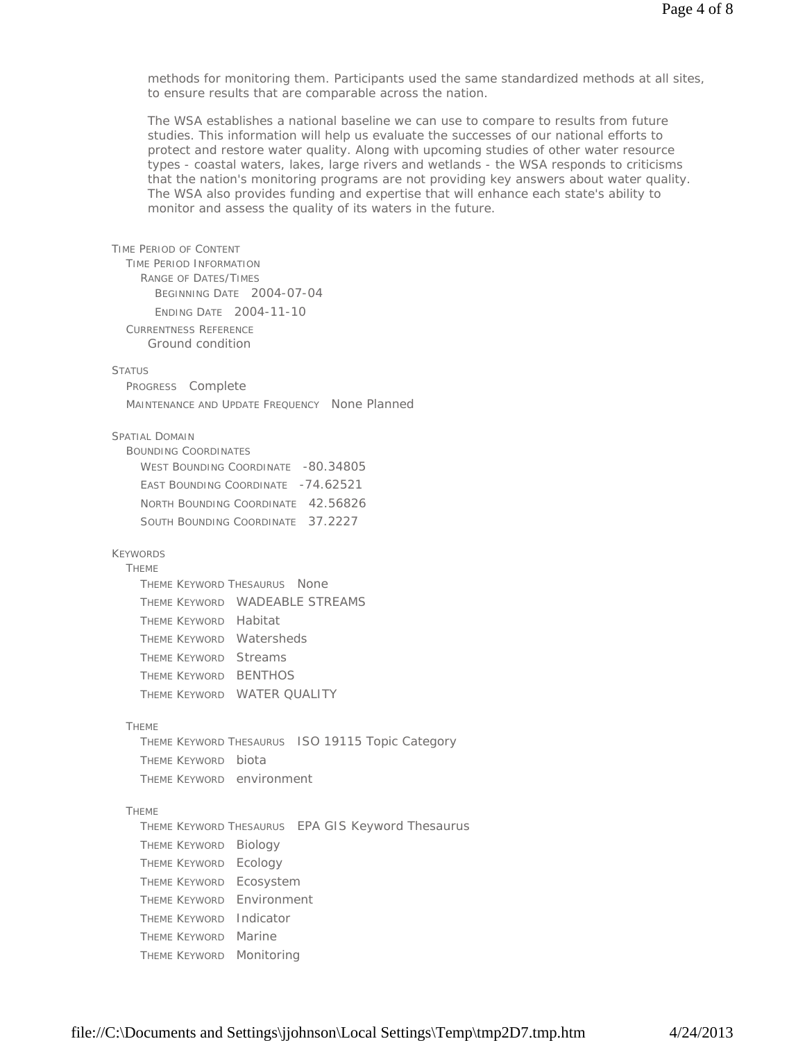methods for monitoring them. Participants used the same standardized methods at all sites, to ensure results that are comparable across the nation.

The WSA establishes a national baseline we can use to compare to results from future studies. This information will help us evaluate the successes of our national efforts to protect and restore water quality. Along with upcoming studies of other water resource types - coastal waters, lakes, large rivers and wetlands - the WSA responds to criticisms that the nation's monitoring programs are not providing key answers about water quality. The WSA also provides funding and expertise that will enhance each state's ability to monitor and assess the quality of its waters in the future.

| TIME PERIOD OF CONTENT                                   |
|----------------------------------------------------------|
| <b>TIME PERIOD INFORMATION</b>                           |
| <b>RANGE OF DATES/TIMES</b><br>BEGINNING DATE 2004-07-04 |
| ENDING DATE 2004-11-10                                   |
| CURRENTNESS REFERENCE                                    |
| Ground condition                                         |
|                                                          |
| Status                                                   |
| PROGRESS Complete                                        |
| MAINTENANCE AND UPDATE FREQUENCY None Planned            |
| Spatial Domain                                           |
| <b>BOUNDING COORDINATES</b>                              |
| WEST BOUNDING COORDINATE -80.34805                       |
| EAST BOUNDING COORDINATE -74.62521                       |
| NORTH BOUNDING COORDINATE 42.56826                       |
| SOUTH BOUNDING COORDINATE 37.2227                        |
|                                                          |
| <b>KEYWORDS</b><br><b>THEME</b>                          |
| THEME KEYWORD THESAURUS None                             |
| THEME KEYWORD WADEABLE STREAMS                           |
| THEME KEYWORD Habitat                                    |
| THEME KEYWORD Watersheds                                 |
| THEME KEYWORD Streams                                    |
| THEME KEYWORD BENTHOS                                    |
| THEME KEYWORD WATER QUALITY                              |
|                                                          |
| <b>THEME</b>                                             |
| THEME KEYWORD THESAURUS ISO 19115 Topic Category         |
| THEME KEYWORD biota                                      |
| THEME KEYWORD environment                                |
| <b>THEME</b>                                             |
| THEME KEYWORD THESAURUS EPA GIS Keyword Thesaurus        |
| <b>THEME KEYWORD</b><br>Biology                          |
| Ecology<br><b>THEME KEYWORD</b>                          |
| Ecosystem<br><b>THEME KEYWORD</b>                        |
| Environment<br><b>THEME KEYWORD</b>                      |
| Indicator<br><b>THEME KEYWORD</b>                        |
| Marine<br><b>THEME KEYWORD</b>                           |
| Monitoring<br><b>THEME KEYWORD</b>                       |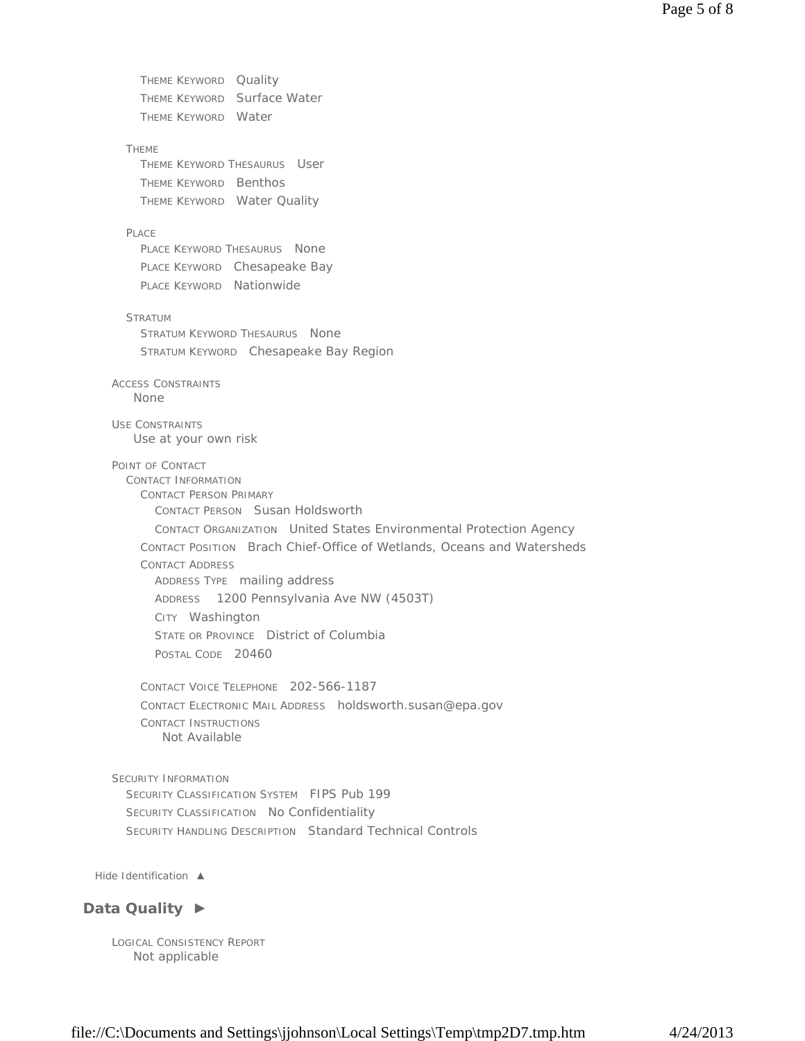THEME KEYWORD Quality THEME KEYWORD Surface Water THEME KEYWORD Water THEME THEME KEYWORD THESAURUS User THEME KEYWORD Benthos THEME KEYWORD Water Quality PLACE PLACE KEYWORD THESAURUS None PLACE KEYWORD Chesapeake Bay PLACE KEYWORD Nationwide STRATUM STRATUM KEYWORD THESAURUS None STRATUM KEYWORD Chesapeake Bay Region ACCESS CONSTRAINTS USE CONSTRAINTS POINT OF CONTACT CONTACT INFORMATION CONTACT PERSON PRIMARY CONTACT PERSON Susan Holdsworth CONTACT ORGANIZATION United States Environmental Protection Agency CONTACT POSITION Brach Chief-Office of Wetlands, Oceans and Watersheds CONTACT ADDRESS ADDRESS TYPE mailing address ADDRESS 1200 Pennsylvania Ave NW (4503T) CITY Washington STATE OR PROVINCE District of Columbia POSTAL CODE 20460 CONTACT VOICE TELEPHONE 202-566-1187 CONTACT ELECTRONIC MAIL ADDRESS holdsworth.susan@epa.gov CONTACT INSTRUCTIONS SECURITY INFORMATION SECURITY CLASSIFICATION SYSTEM FIPS Pub 199 SECURITY CLASSIFICATION No Confidentiality SECURITY HANDLING DESCRIPTION Standard Technical Controls None Use at your own risk Not Available

*Hide Identification ▲*

## **Data Quality ►**

LOGICAL CONSISTENCY REPORT Not applicable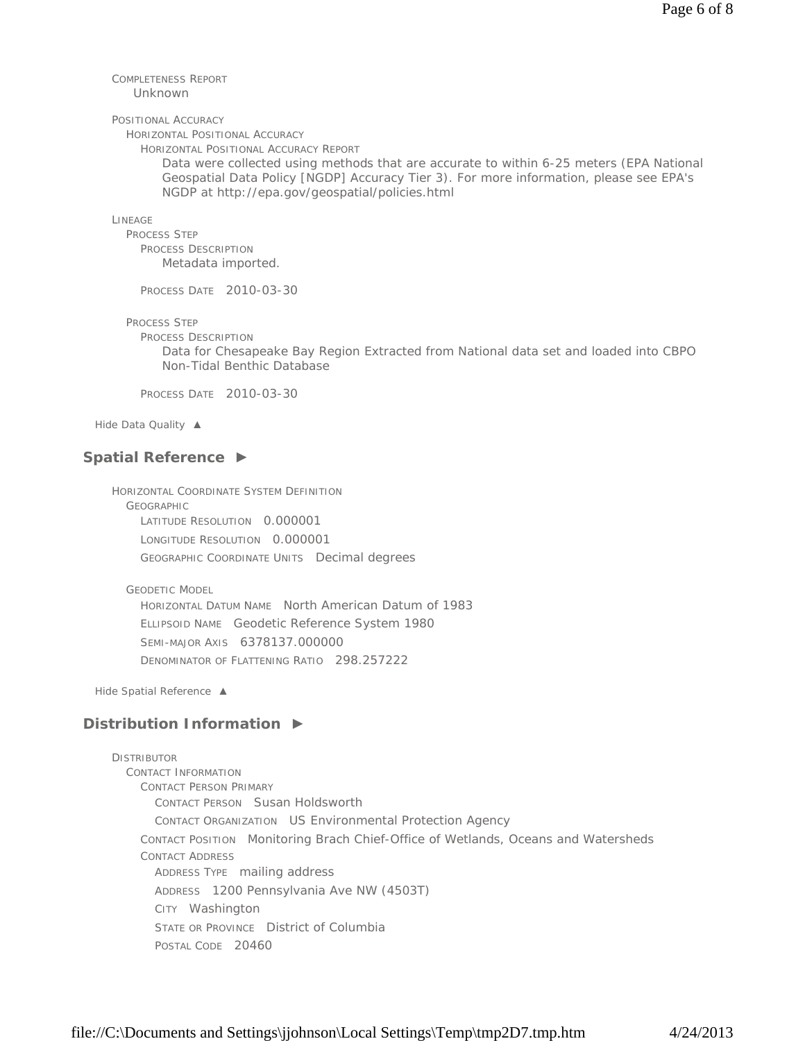#### COMPLETENESS REPORT Unknown

#### POSITIONAL ACCURACY

HORIZONTAL POSITIONAL ACCURACY

HORIZONTAL POSITIONAL ACCURACY REPORT

Data were collected using methods that are accurate to within 6-25 meters (EPA National Geospatial Data Policy [NGDP] Accuracy Tier 3). For more information, please see EPA's NGDP at http://epa.gov/geospatial/policies.html

LINEAGE

PROCESS STEP PROCESS DESCRIPTION Metadata imported.

PROCESS DATE 2010-03-30

PROCESS STEP

PROCESS DESCRIPTION

Data for Chesapeake Bay Region Extracted from National data set and loaded into CBPO Non-Tidal Benthic Database

PROCESS DATE 2010-03-30

*Hide Data Quality ▲*

### **Spatial Reference ►**

HORIZONTAL COORDINATE SYSTEM DEFINITION GEOGRAPHIC LATITUDE RESOLUTION 0.000001 LONGITUDE RESOLUTION 0.000001 GEOGRAPHIC COORDINATE UNITS Decimal degrees

GEODETIC MODEL

HORIZONTAL DATUM NAME North American Datum of 1983 ELLIPSOID NAME Geodetic Reference System 1980 SEMI-MAJOR AXIS 6378137.000000 DENOMINATOR OF FLATTENING RATIO 298.257222

*Hide Spatial Reference ▲*

## **Distribution Information ►**

DISTRIBUTOR CONTACT INFORMATION CONTACT PERSON PRIMARY CONTACT PERSON Susan Holdsworth CONTACT ORGANIZATION US Environmental Protection Agency CONTACT POSITION Monitoring Brach Chief-Office of Wetlands, Oceans and Watersheds CONTACT ADDRESS ADDRESS TYPE mailing address ADDRESS 1200 Pennsylvania Ave NW (4503T) CITY Washington STATE OR PROVINCE District of Columbia POSTAL CODE 20460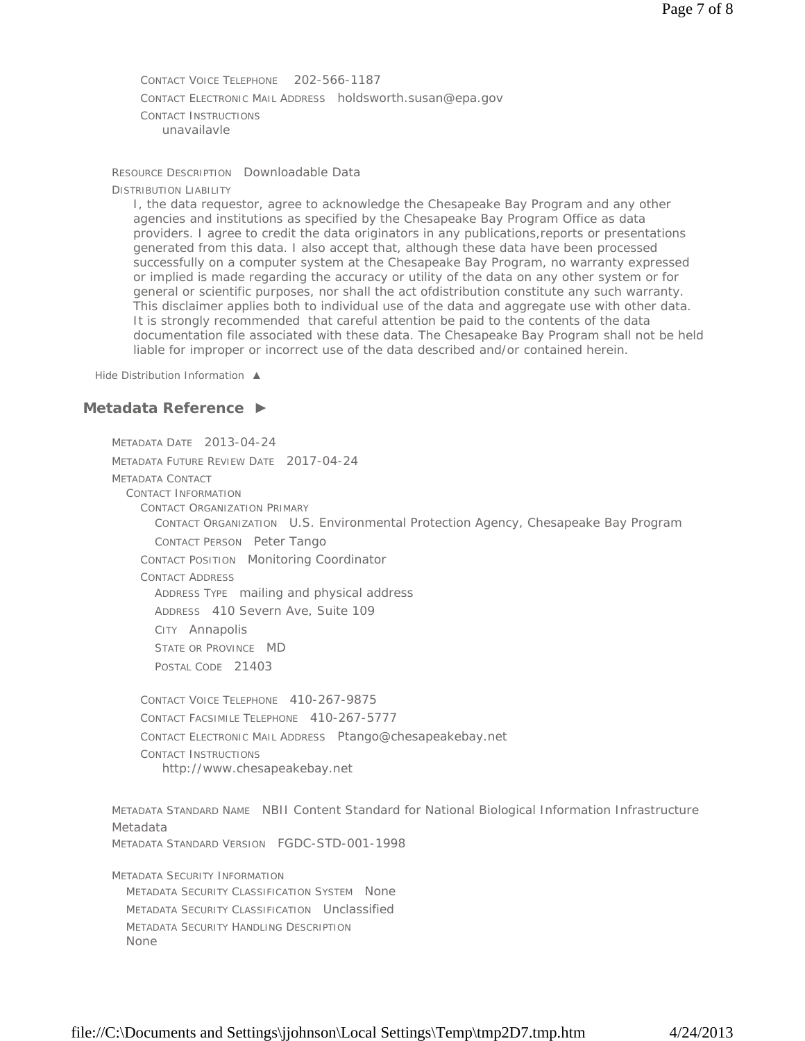CONTACT VOICE TELEPHONE 202-566-1187 CONTACT ELECTRONIC MAIL ADDRESS holdsworth.susan@epa.gov CONTACT INSTRUCTIONS unavailavle

RESOURCE DESCRIPTION Downloadable Data

DISTRIBUTION LIABILITY

I, the data requestor, agree to acknowledge the Chesapeake Bay Program and any other agencies and institutions as specified by the Chesapeake Bay Program Office as data providers. I agree to credit the data originators in any publications,reports or presentations generated from this data. I also accept that, although these data have been processed successfully on a computer system at the Chesapeake Bay Program, no warranty expressed or implied is made regarding the accuracy or utility of the data on any other system or for general or scientific purposes, nor shall the act ofdistribution constitute any such warranty. This disclaimer applies both to individual use of the data and aggregate use with other data. It is strongly recommended that careful attention be paid to the contents of the data documentation file associated with these data. The Chesapeake Bay Program shall not be held liable for improper or incorrect use of the data described and/or contained herein.

*Hide Distribution Information ▲*

## **Metadata Reference ►**

METADATA DATE 2013-04-24 METADATA FUTURE REVIEW DATE 2017-04-24 METADATA CONTACT CONTACT INFORMATION CONTACT ORGANIZATION PRIMARY CONTACT ORGANIZATION U.S. Environmental Protection Agency, Chesapeake Bay Program CONTACT PERSON Peter Tango CONTACT POSITION Monitoring Coordinator CONTACT ADDRESS ADDRESS TYPE mailing and physical address ADDRESS 410 Severn Ave, Suite 109 CITY Annapolis STATE OR PROVINCE MD POSTAL CODE 21403 CONTACT VOICE TELEPHONE 410-267-9875 CONTACT FACSIMILE TELEPHONE 410-267-5777 CONTACT ELECTRONIC MAIL ADDRESS Ptango@chesapeakebay.net CONTACT INSTRUCTIONS METADATA STANDARD NAME NBII Content Standard for National Biological Information Infrastructure Metadata METADATA STANDARD VERSION FGDC-STD-001-1998 METADATA SECURITY INFORMATION METADATA SECURITY CLASSIFICATION SYSTEM None METADATA SECURITY CLASSIFICATION Unclassified METADATA SECURITY HANDLING DESCRIPTION None http://www.chesapeakebay.net